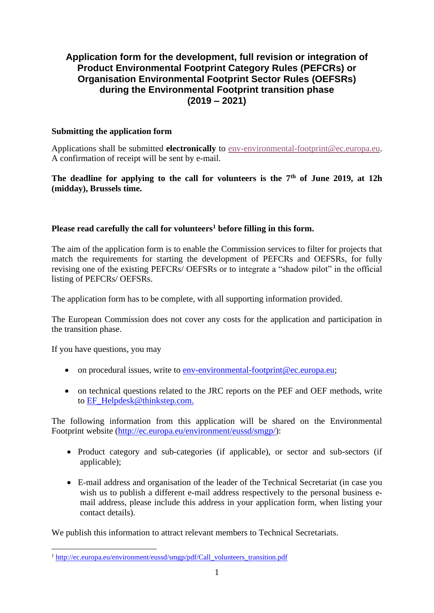### **Application form for the development, full revision or integration of Product Environmental Footprint Category Rules (PEFCRs) or Organisation Environmental Footprint Sector Rules (OEFSRs) during the Environmental Footprint transition phase (2019 – 2021)**

### **Submitting the application form**

Applications shall be submitted **electronically** to [env-environmental-footprint@ec.europa.eu.](mailto:env-environmental-footprint@ec.europa.eu) A confirmation of receipt will be sent by e-mail.

**The deadline for applying to the call for volunteers is the 7th of June 2019, at 12h (midday), Brussels time.**

### **Please read carefully the call for volunteers<sup>1</sup> before filling in this form.**

The aim of the application form is to enable the Commission services to filter for projects that match the requirements for starting the development of PEFCRs and OEFSRs, for fully revising one of the existing PEFCRs/ OEFSRs or to integrate a "shadow pilot" in the official listing of PEFCRs/ OEFSRs.

The application form has to be complete, with all supporting information provided.

The European Commission does not cover any costs for the application and participation in the transition phase.

If you have questions, you may

- on procedural issues, write to [env-environmental-footprint@ec.europa.eu;](mailto:env-environmental-footprint@ec.europa.eu)
- on technical questions related to the JRC reports on the PEF and OEF methods, write to [EF\\_Helpdesk@thinkstep.com.](mailto:EF_Helpdesk@thinkstep.com)

The following information from this application will be shared on the Environmental Footprint website [\(http://ec.europa.eu/environment/eussd/smgp/\)](http://ec.europa.eu/environment/eussd/smgp/):

- Product category and sub-categories (if applicable), or sector and sub-sectors (if applicable):
- E-mail address and organisation of the leader of the Technical Secretariat (in case you wish us to publish a different e-mail address respectively to the personal business email address, please include this address in your application form, when listing your contact details).

We publish this information to attract relevant members to Technical Secretariats.

<sup>&</sup>lt;sup>1</sup> [http://ec.europa.eu/environment/eussd/smgp/pdf/Call\\_volunteers\\_transition.pdf](http://ec.europa.eu/environment/eussd/smgp/pdf/Call_volunteers_transition.pdf)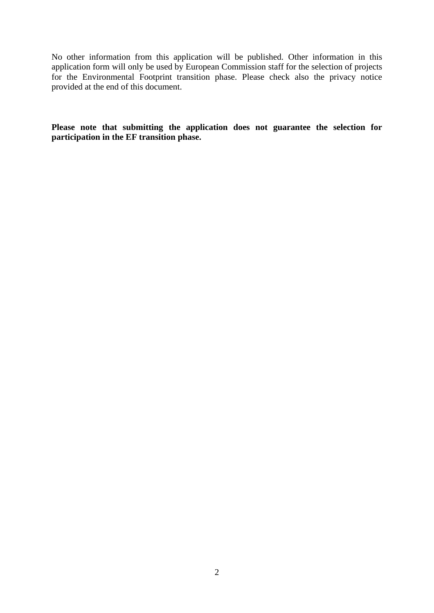No other information from this application will be published. Other information in this application form will only be used by European Commission staff for the selection of projects for the Environmental Footprint transition phase. Please check also the privacy notice provided at the end of this document.

**Please note that submitting the application does not guarantee the selection for participation in the EF transition phase.**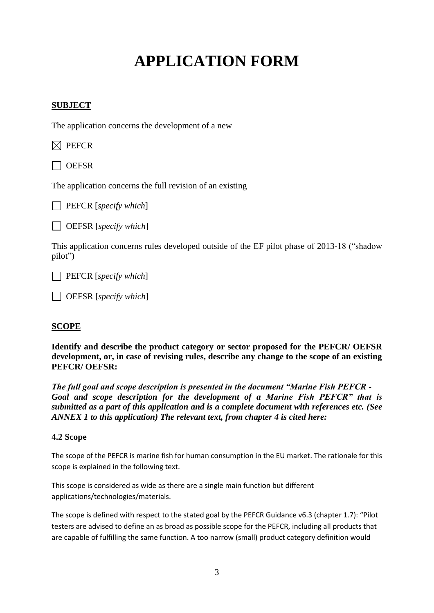# **APPLICATION FORM**

### **SUBJECT**

The application concerns the development of a new

 $\boxtimes$  PEFCR

 $\Box$  OEFSR

The application concerns the full revision of an existing

PEFCR [*specify which*]

OEFSR [*specify which*]

This application concerns rules developed outside of the EF pilot phase of 2013-18 ("shadow pilot")

PEFCR [*specify which*]

OEFSR [*specify which*]

### **SCOPE**

**Identify and describe the product category or sector proposed for the PEFCR/ OEFSR development, or, in case of revising rules, describe any change to the scope of an existing PEFCR/ OEFSR:**

*The full goal and scope description is presented in the document "Marine Fish PEFCR - Goal and scope description for the development of a Marine Fish PEFCR" that is submitted as a part of this application and is a complete document with references etc. (See ANNEX 1 to this application) The relevant text, from chapter 4 is cited here:*

### **4.2 Scope**

The scope of the PEFCR is marine fish for human consumption in the EU market. The rationale for this scope is explained in the following text.

This scope is considered as wide as there are a single main function but different applications/technologies/materials.

The scope is defined with respect to the stated goal by the PEFCR Guidance v6.3 (chapter 1.7): "Pilot testers are advised to define an as broad as possible scope for the PEFCR, including all products that are capable of fulfilling the same function. A too narrow (small) product category definition would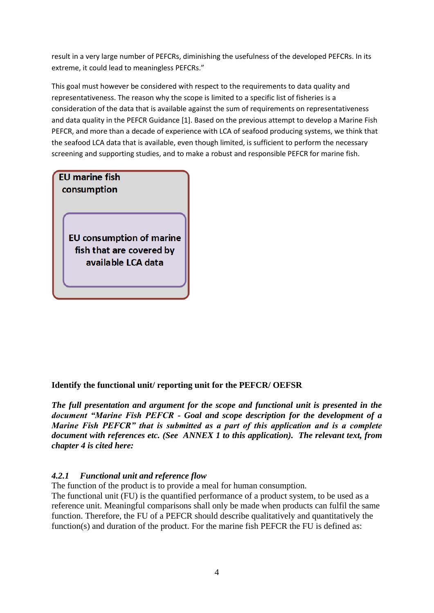result in a very large number of PEFCRs, diminishing the usefulness of the developed PEFCRs. In its extreme, it could lead to meaningless PEFCRs."

This goal must however be considered with respect to the requirements to data quality and representativeness. The reason why the scope is limited to a specific list of fisheries is a consideration of the data that is available against the sum of requirements on representativeness and data quality in the PEFCR Guidance [1]. Based on the previous attempt to develop a Marine Fish PEFCR, and more than a decade of experience with LCA of seafood producing systems, we think that the seafood LCA data that is available, even though limited, is sufficient to perform the necessary screening and supporting studies, and to make a robust and responsible PEFCR for marine fish.

### **EU** marine fish consumption

**EU** consumption of marine fish that are covered by available LCA data

### **Identify the functional unit/ reporting unit for the PEFCR/ OEFSR**

*The full presentation and argument for the scope and functional unit is presented in the document "Marine Fish PEFCR - Goal and scope description for the development of a Marine Fish PEFCR" that is submitted as a part of this application and is a complete document with references etc. (See ANNEX 1 to this application). The relevant text, from chapter 4 is cited here:*

### *4.2.1 Functional unit and reference flow*

The function of the product is to provide a meal for human consumption.

The functional unit (FU) is the quantified performance of a product system, to be used as a reference unit. Meaningful comparisons shall only be made when products can fulfil the same function. Therefore, the FU of a PEFCR should describe qualitatively and quantitatively the function(s) and duration of the product. For the marine fish PEFCR the FU is defined as: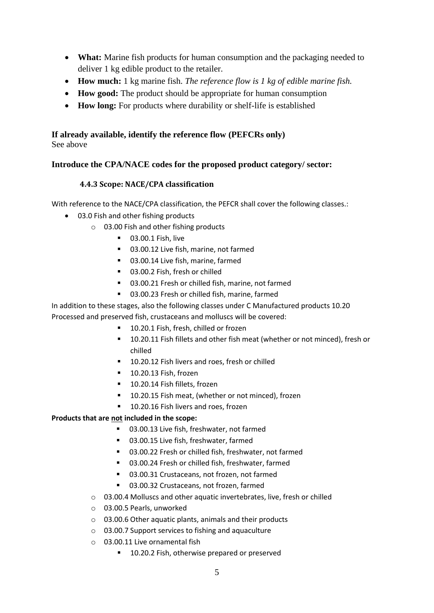- **What:** Marine fish products for human consumption and the packaging needed to deliver 1 kg edible product to the retailer.
- **How much:** 1 kg marine fish. *The reference flow is 1 kg of edible marine fish.*
- **How good:** The product should be appropriate for human consumption
- **How long:** For products where durability or shelf-life is established

## **If already available, identify the reference flow (PEFCRs only)**

See above

### **Introduce the CPA/NACE codes for the proposed product category/ sector:**

### **4.4.3 Scope: NACE/CPA classification**

With reference to the NACE/CPA classification, the PEFCR shall cover the following classes.:

- 03.0 Fish and other fishing products
	- o 03.00 Fish and other fishing products
		- 03.00.1 Fish, live
		- 03.00.12 Live fish, marine, not farmed
		- 03.00.14 Live fish, marine, farmed
		- 03.00.2 Fish, fresh or chilled
		- 03.00.21 Fresh or chilled fish, marine, not farmed
		- 03.00.23 Fresh or chilled fish, marine, farmed

In addition to these stages, also the following classes under C Manufactured products 10.20 Processed and preserved fish, crustaceans and molluscs will be covered:

- 10.20.1 Fish, fresh, chilled or frozen
- 10.20.11 Fish fillets and other fish meat (whether or not minced), fresh or chilled
- 10.20.12 Fish livers and roes, fresh or chilled
- 10.20.13 Fish, frozen
- 10.20.14 Fish fillets, frozen
- 10.20.15 Fish meat, (whether or not minced), frozen
- 10.20.16 Fish livers and roes, frozen

### **Products that are not included in the scope:**

- 03.00.13 Live fish, freshwater, not farmed
- 03.00.15 Live fish, freshwater, farmed
- 03.00.22 Fresh or chilled fish, freshwater, not farmed
- 03.00.24 Fresh or chilled fish, freshwater, farmed
- 03.00.31 Crustaceans, not frozen, not farmed
- 03.00.32 Crustaceans, not frozen, farmed
- o 03.00.4 Molluscs and other aquatic invertebrates, live, fresh or chilled
- o 03.00.5 Pearls, unworked
- o 03.00.6 Other aquatic plants, animals and their products
- o 03.00.7 Support services to fishing and aquaculture
- o 03.00.11 Live ornamental fish
	- 10.20.2 Fish, otherwise prepared or preserved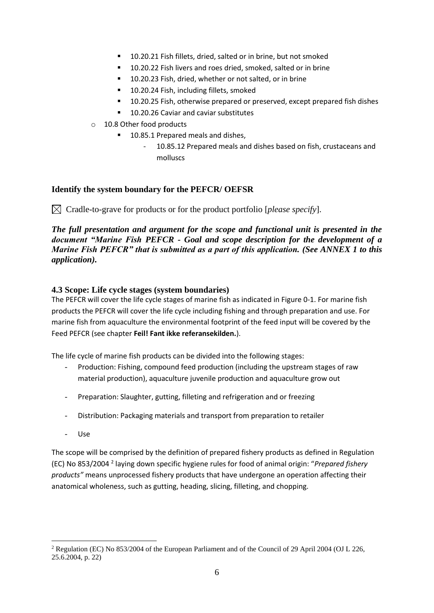- 10.20.21 Fish fillets, dried, salted or in brine, but not smoked
- 10.20.22 Fish livers and roes dried, smoked, salted or in brine
- 10.20.23 Fish, dried, whether or not salted, or in brine
- 10.20.24 Fish, including fillets, smoked
- 10.20.25 Fish, otherwise prepared or preserved, except prepared fish dishes
- 10.20.26 Caviar and caviar substitutes
- o 10.8 Other food products
	- 10.85.1 Prepared meals and dishes,
		- 10.85.12 Prepared meals and dishes based on fish, crustaceans and molluscs

### **Identify the system boundary for the PEFCR/ OEFSR**

 $\boxtimes$  Cradle-to-grave for products or for the product portfolio [*please specify*].

*The full presentation and argument for the scope and functional unit is presented in the document "Marine Fish PEFCR - Goal and scope description for the development of a Marine Fish PEFCR" that is submitted as a part of this application. (See ANNEX 1 to this application).*

### **4.3 Scope: Life cycle stages (system boundaries)**

The PEFCR will cover the life cycle stages of marine fish as indicated in [Figure 0-1.](#page-6-0) For marine fish products the PEFCR will cover the life cycle including fishing and through preparation and use. For marine fish from aquaculture the environmental footprint of the feed input will be covered by the Feed PEFCR (see chapter **Feil! Fant ikke referansekilden.**).

The life cycle of marine fish products can be divided into the following stages:

- Production: Fishing, compound feed production (including the upstream stages of raw material production), aquaculture juvenile production and aquaculture grow out
- Preparation: Slaughter, gutting, filleting and refrigeration and or freezing
- Distribution: Packaging materials and transport from preparation to retailer
- Use

The scope will be comprised by the definition of prepared fishery products as defined in Regulation (EC) No 853/2004 <sup>2</sup> laying down specific hygiene rules for food of animal origin: "*Prepared fishery products"* means unprocessed fishery products that have undergone an operation affecting their anatomical wholeness, such as gutting, heading, slicing, filleting, and chopping.

<sup>2</sup> Regulation (EC) No 853/2004 of the European Parliament and of the Council of 29 April 2004 (OJ L 226, 25.6.2004, p. 22)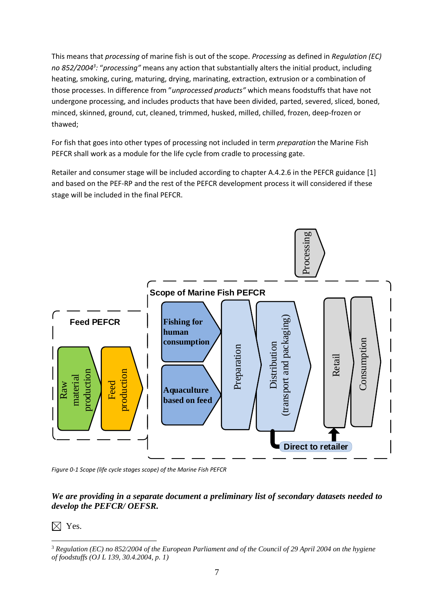This means that *processing* of marine fish is out of the scope. *Processing* as defined in *Regulation (EC) no 852/2004<sup>3</sup> :* "*processing"* means any action that substantially alters the initial product, including heating, smoking, curing, maturing, drying, marinating, extraction, extrusion or a combination of those processes. In difference from "*unprocessed products"* which means foodstuffs that have not undergone processing, and includes products that have been divided, parted, severed, sliced, boned, minced, skinned, ground, cut, cleaned, trimmed, husked, milled, chilled, frozen, deep-frozen or thawed;

For fish that goes into other types of processing not included in term *preparation* the Marine Fish PEFCR shall work as a module for the life cycle from cradle to processing gate.

Retailer and consumer stage will be included according to chapter A.4.2.6 in the PEFCR guidance [1] and based on the PEF-RP and the rest of the PEFCR development process it will considered if these stage will be included in the final PEFCR.



<span id="page-6-0"></span>*Figure 0-1 Scope (life cycle stages scope) of the Marine Fish PEFCR*

### *We are providing in a separate document a preliminary list of secondary datasets needed to develop the PEFCR/ OEFSR.*

### $\boxtimes$  Yes.

<sup>3</sup> *Regulation (EC) no 852/2004 of the European Parliament and of the Council of 29 April 2004 on the hygiene of foodstuffs (OJ L 139, 30.4.2004, p. 1)*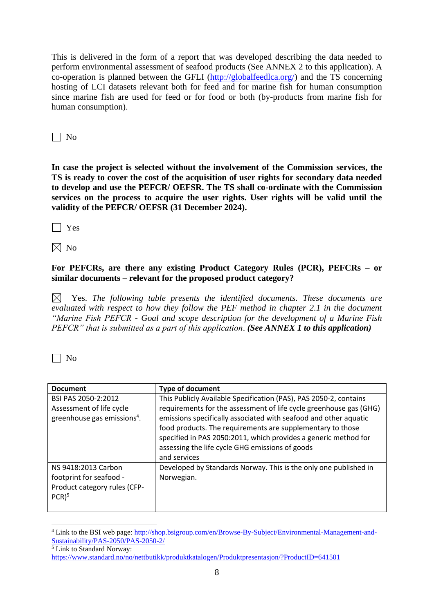This is delivered in the form of a report that was developed describing the data needed to perform environmental assessment of seafood products (See ANNEX 2 to this application). A co-operation is planned between the GFLI [\(http://globalfeedlca.org/\)](http://globalfeedlca.org/) and the TS concerning hosting of LCI datasets relevant both for feed and for marine fish for human consumption since marine fish are used for feed or for food or both (by-products from marine fish for human consumption).

 $\vert$  | No

**In case the project is selected without the involvement of the Commission services, the TS is ready to cover the cost of the acquisition of user rights for secondary data needed to develop and use the PEFCR/ OEFSR. The TS shall co-ordinate with the Commission services on the process to acquire the user rights. User rights will be valid until the validity of the PEFCR/ OEFSR (31 December 2024).**

 $\Box$  Yes

 $\boxtimes$  No

**For PEFCRs, are there any existing Product Category Rules (PCR), PEFCRs – or similar documents – relevant for the proposed product category?**

 $\boxtimes$  Yes. The following table presents the identified documents. These documents are *evaluated with respect to how they follow the PEF method in chapter 2.1 in the document "Marine Fish PEFCR - Goal and scope description for the development of a Marine Fish PEFCR" that is submitted as a part of this application*. *(See ANNEX 1 to this application)*

 $\Box$  No

| <b>Document</b>                         | <b>Type of document</b>                                            |
|-----------------------------------------|--------------------------------------------------------------------|
| BSI PAS 2050-2:2012                     | This Publicly Available Specification (PAS), PAS 2050-2, contains  |
| Assessment of life cycle                | requirements for the assessment of life cycle greenhouse gas (GHG) |
| greenhouse gas emissions <sup>4</sup> . | emissions specifically associated with seafood and other aquatic   |
|                                         | food products. The requirements are supplementary to those         |
|                                         | specified in PAS 2050:2011, which provides a generic method for    |
|                                         | assessing the life cycle GHG emissions of goods                    |
|                                         | and services                                                       |
| NS 9418:2013 Carbon                     | Developed by Standards Norway. This is the only one published in   |
| footprint for seafood -                 | Norwegian.                                                         |
| Product category rules (CFP-            |                                                                    |
| $PCR$ <sup>5</sup>                      |                                                                    |
|                                         |                                                                    |

<sup>&</sup>lt;sup>4</sup> Link to the BSI web page: [http://shop.bsigroup.com/en/Browse-By-Subject/Environmental-Management-and-](http://shop.bsigroup.com/en/Browse-By-Subject/Environmental-Management-and-Sustainability/PAS-2050/PAS-2050-2/)[Sustainability/PAS-2050/PAS-2050-2/](http://shop.bsigroup.com/en/Browse-By-Subject/Environmental-Management-and-Sustainability/PAS-2050/PAS-2050-2/)

<sup>5</sup> Link to Standard Norway:

<https://www.standard.no/no/nettbutikk/produktkatalogen/Produktpresentasjon/?ProductID=641501>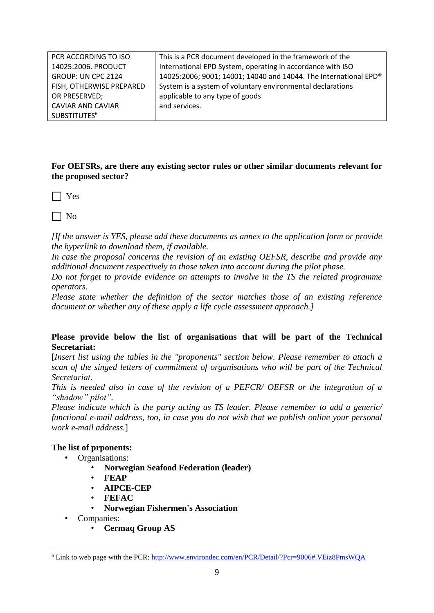| PCR ACCORDING TO ISO     | This is a PCR document developed in the framework of the         |
|--------------------------|------------------------------------------------------------------|
| 14025:2006. PRODUCT      | International EPD System, operating in accordance with ISO       |
| GROUP: UN CPC 2124       | 14025:2006; 9001; 14001; 14040 and 14044. The International EPD® |
| FISH, OTHERWISE PREPARED | System is a system of voluntary environmental declarations       |
| OR PRESERVED;            | applicable to any type of goods                                  |
| <b>CAVIAR AND CAVIAR</b> | and services.                                                    |
| SUBSTITUTES <sup>6</sup> |                                                                  |

**For OEFSRs, are there any existing sector rules or other similar documents relevant for the proposed sector?** 

 $\Box$  Yes

 $\Box$  No

*[If the answer is YES, please add these documents as annex to the application form or provide the hyperlink to download them, if available.*

*In case the proposal concerns the revision of an existing OEFSR, describe and provide any additional document respectively to those taken into account during the pilot phase.*

*Do not forget to provide evidence on attempts to involve in the TS the related programme operators.*

*Please state whether the definition of the sector matches those of an existing reference document or whether any of these apply a life cycle assessment approach.]*

### **Please provide below the list of organisations that will be part of the Technical Secretariat:**

[*Insert list using the tables in the "proponents" section below. Please remember to attach a scan of the singed letters of commitment of organisations who will be part of the Technical Secretariat.*

*This is needed also in case of the revision of a PEFCR/ OEFSR or the integration of a "shadow" pilot".*

*Please indicate which is the party acting as TS leader. Please remember to add a generic/ functional e-mail address, too, in case you do not wish that we publish online your personal work e-mail address.*]

### **The list of prponents:**

- Organisations:
	- **Norwegian Seafood Federation (leader)**
	- **FEAP**
	- **AIPCE-CEP**
	- **FEFAC**
	- **Norwegian Fishermen's Association**
- Companies:
	- **Cermaq Group AS**

<sup>6</sup> Link to web page with the PCR:<http://www.environdec.com/en/PCR/Detail/?Pcr=9006#.VEiz8PmsWQA>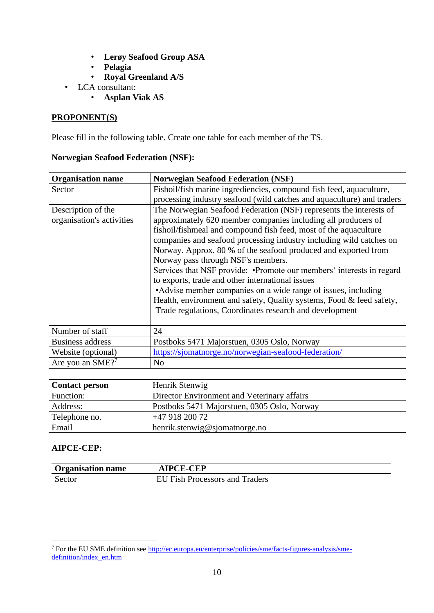- **Lerøy Seafood Group ASA**
- **Pelagia**
- **Royal Greenland A/S**
- LCA consultant:
	- **Asplan Viak AS**

### **PROPONENT(S)**

Please fill in the following table. Create one table for each member of the TS.

### **Norwegian Seafood Federation (NSF):**

| <b>Organisation name</b>                        | <b>Norwegian Seafood Federation (NSF)</b>                                                                                                                                                                                                                                                                                                                                                                                                                                                                                                                                                                                                                                                                                |
|-------------------------------------------------|--------------------------------------------------------------------------------------------------------------------------------------------------------------------------------------------------------------------------------------------------------------------------------------------------------------------------------------------------------------------------------------------------------------------------------------------------------------------------------------------------------------------------------------------------------------------------------------------------------------------------------------------------------------------------------------------------------------------------|
| Sector                                          | Fishoil/fish marine ingrediencies, compound fish feed, aquaculture,                                                                                                                                                                                                                                                                                                                                                                                                                                                                                                                                                                                                                                                      |
|                                                 | processing industry seafood (wild catches and aquaculture) and traders                                                                                                                                                                                                                                                                                                                                                                                                                                                                                                                                                                                                                                                   |
| Description of the<br>organisation's activities | The Norwegian Seafood Federation (NSF) represents the interests of<br>approximately 620 member companies including all producers of<br>fishoil/fishmeal and compound fish feed, most of the aquaculture<br>companies and seafood processing industry including wild catches on<br>Norway. Approx. 80 % of the seafood produced and exported from<br>Norway pass through NSF's members.<br>Services that NSF provide: • Promote our members' interests in regard<br>to exports, trade and other international issues<br>• Advise member companies on a wide range of issues, including<br>Health, environment and safety, Quality systems, Food & feed safety,<br>Trade regulations, Coordinates research and development |
| Number of staff                                 | 24                                                                                                                                                                                                                                                                                                                                                                                                                                                                                                                                                                                                                                                                                                                       |
| Business address                                | Postboks 5471 Majorstuen, 0305 Oslo, Norway                                                                                                                                                                                                                                                                                                                                                                                                                                                                                                                                                                                                                                                                              |
| Website (optional)                              | https://sjomatnorge.no/norwegian-seafood-federation/                                                                                                                                                                                                                                                                                                                                                                                                                                                                                                                                                                                                                                                                     |
| Are you an SME? <sup>7</sup>                    | N <sub>o</sub>                                                                                                                                                                                                                                                                                                                                                                                                                                                                                                                                                                                                                                                                                                           |

| <b>Contact person</b> | Henrik Stenwig                              |
|-----------------------|---------------------------------------------|
| Function:             | Director Environment and Veterinary affairs |
| Address:              | Postboks 5471 Majorstuen, 0305 Oslo, Norway |
| Telephone no.         | $+4791820072$                               |
| Email                 | henrik.stenwig@sjomatnorge.no               |

### **AIPCE-CEP:**

| <b>Organisation name</b> | <b>CE-CEP</b>                 |
|--------------------------|-------------------------------|
| Sector                   | J Fish Processors and Traders |

<sup>7</sup> For the EU SME definition see [http://ec.europa.eu/enterprise/policies/sme/facts-figures-analysis/sme](http://ec.europa.eu/enterprise/policies/sme/facts-figures-analysis/sme-definition/index_en.htm)[definition/index\\_en.htm](http://ec.europa.eu/enterprise/policies/sme/facts-figures-analysis/sme-definition/index_en.htm)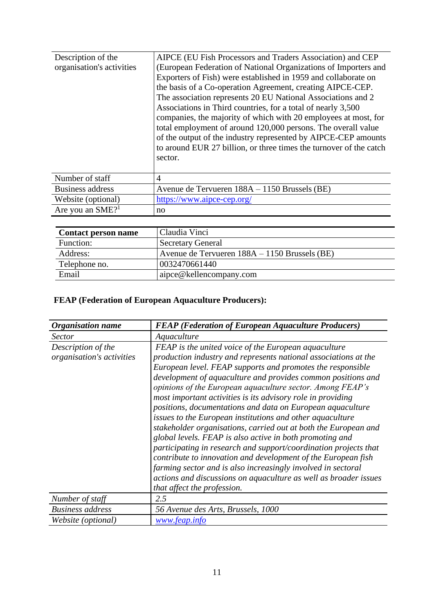| Description of the             | AIPCE (EU Fish Processors and Traders Association) and CEP                                                                                                                                                                                                                          |
|--------------------------------|-------------------------------------------------------------------------------------------------------------------------------------------------------------------------------------------------------------------------------------------------------------------------------------|
| organisation's activities      | (European Federation of National Organizations of Importers and                                                                                                                                                                                                                     |
|                                | Exporters of Fish) were established in 1959 and collaborate on                                                                                                                                                                                                                      |
|                                | the basis of a Co-operation Agreement, creating AIPCE-CEP.                                                                                                                                                                                                                          |
|                                | The association represents 20 EU National Associations and 2                                                                                                                                                                                                                        |
|                                | Associations in Third countries, for a total of nearly 3,500                                                                                                                                                                                                                        |
|                                | companies, the majority of which with 20 employees at most, for<br>total employment of around 120,000 persons. The overall value<br>of the output of the industry represented by AIPCE-CEP amounts<br>to around EUR 27 billion, or three times the turnover of the catch<br>sector. |
| Number of staff                | $\overline{4}$                                                                                                                                                                                                                                                                      |
| <b>Business address</b>        | Avenue de Tervueren 188A – 1150 Brussels (BE)                                                                                                                                                                                                                                       |
| Website (optional)             | https://www.aipce-cep.org/                                                                                                                                                                                                                                                          |
| Are you an $SME$ <sup>21</sup> | no                                                                                                                                                                                                                                                                                  |

| <b>Contact person name</b> | Claudia Vinci                                   |
|----------------------------|-------------------------------------------------|
| Function:                  | <b>Secretary General</b>                        |
| Address:                   | Avenue de Tervueren $188A - 1150$ Brussels (BE) |
| Telephone no.              | 0032470661440                                   |
| Email                      | aipce@kellencompany.com                         |

### **FEAP (Federation of European Aquaculture Producers):**

| <b>Organisation name</b>                        | <b>FEAP</b> (Federation of European Aquaculture Producers)                                                                                                                                                                                                                                                                                                                                                                                                                                                                                                                                                                                                                                                                                                                                                                                                                                                                                                 |
|-------------------------------------------------|------------------------------------------------------------------------------------------------------------------------------------------------------------------------------------------------------------------------------------------------------------------------------------------------------------------------------------------------------------------------------------------------------------------------------------------------------------------------------------------------------------------------------------------------------------------------------------------------------------------------------------------------------------------------------------------------------------------------------------------------------------------------------------------------------------------------------------------------------------------------------------------------------------------------------------------------------------|
| <b>Sector</b>                                   | Aquaculture                                                                                                                                                                                                                                                                                                                                                                                                                                                                                                                                                                                                                                                                                                                                                                                                                                                                                                                                                |
| Description of the<br>organisation's activities | <b>FEAP</b> is the united voice of the European aquaculture<br>production industry and represents national associations at the<br>European level. FEAP supports and promotes the responsible<br>development of aquaculture and provides common positions and<br>opinions of the European aquaculture sector. Among FEAP's<br>most important activities is its advisory role in providing<br>positions, documentations and data on European aquaculture<br>issues to the European institutions and other aquaculture<br>stakeholder organisations, carried out at both the European and<br>global levels. FEAP is also active in both promoting and<br>participating in research and support/coordination projects that<br>contribute to innovation and development of the European fish<br>farming sector and is also increasingly involved in sectoral<br>actions and discussions on aquaculture as well as broader issues<br>that affect the profession. |
| Number of staff                                 | 2.5                                                                                                                                                                                                                                                                                                                                                                                                                                                                                                                                                                                                                                                                                                                                                                                                                                                                                                                                                        |
| <b>Business</b> address                         | 56 Avenue des Arts, Brussels, 1000                                                                                                                                                                                                                                                                                                                                                                                                                                                                                                                                                                                                                                                                                                                                                                                                                                                                                                                         |
| Website (optional)                              | www.feap.info                                                                                                                                                                                                                                                                                                                                                                                                                                                                                                                                                                                                                                                                                                                                                                                                                                                                                                                                              |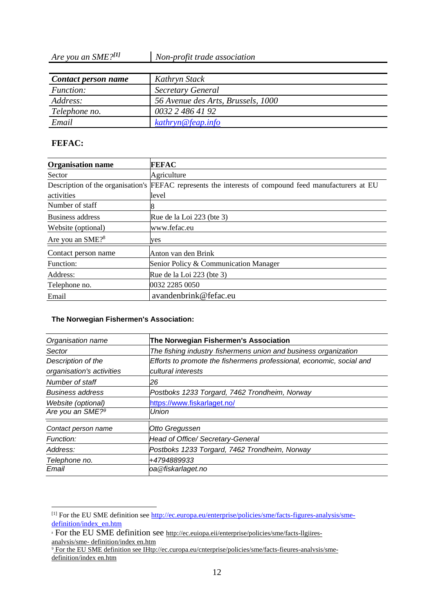*Are you an SME?[1] Non-profit trade association*

| Contact person name | Kathryn Stack                      |
|---------------------|------------------------------------|
| <i>Function:</i>    | <b>Secretary General</b>           |
| Address:            | 56 Avenue des Arts, Brussels, 1000 |
| Telephone no.       | 0032 2 486 41 92                   |
| Email               | kathryn@feap.info                  |

### **FEFAC:**

| <b>Organisation name</b>     | <b>FEFAC</b>                                                                                          |
|------------------------------|-------------------------------------------------------------------------------------------------------|
| Sector                       | Agriculture                                                                                           |
|                              | Description of the organisation's FEFAC represents the interests of compound feed manufacturers at EU |
| activities                   | level                                                                                                 |
| Number of staff              |                                                                                                       |
| Business address             | Rue de la Loi 223 (bte 3)                                                                             |
| Website (optional)           | www.fefac.eu                                                                                          |
| Are you an SME? <sup>8</sup> | yes                                                                                                   |
| Contact person name          | Anton van den Brink                                                                                   |
| Function:                    | Senior Policy & Communication Manager                                                                 |
| Address:                     | Rue de la Loi 223 (bte 3)                                                                             |
| Telephone no.                | 0032 2285 0050                                                                                        |
| Email                        | avandenbrink@fefac.eu                                                                                 |

#### **The Norwegian Fishermen's Association:**

| Organisation name            | The Norwegian Fishermen's Association                                |
|------------------------------|----------------------------------------------------------------------|
| Sector                       | The fishing industry fishermens union and business organization      |
| Description of the           | Efforts to promote the fishermens professional, economic, social and |
| organisation's activities    | cultural interests                                                   |
| Number of staff              | 26                                                                   |
| <b>Business address</b>      | Postboks 1233 Torgard, 7462 Trondheim, Norway                        |
| Website (optional)           | https://www.fiskarlaget.no/                                          |
| Are you an SME? <sup>9</sup> | <b>Union</b>                                                         |
| Contact person name          | Otto Gregussen                                                       |
| Function:                    | Head of Office/ Secretary-General                                    |
| Address:                     | Postboks 1233 Torgard, 7462 Trondheim, Norway                        |
| Telephone no.                | +4794889933                                                          |
| Email                        | oa@fiskarlaget.no                                                    |

<sup>[1]</sup> For the EU SME definition see [http://ec.europa.eu/enterprise/policies/sme/facts-figures-analysis/sme](https://eur03.safelinks.protection.outlook.com/?url=http%3A%2F%2Fec.europa.eu%2Fenterprise%2Fpolicies%2Fsme%2Ffacts-figures-analysis%2Fsme-definition%2Findex_en.htm&data=02%7C01%7Chenrik.stenwig%40sjomatnorge.no%7C965dcaf56fb14f3a775b08d72a01aefd%7C21be13a8b92f4a809cf317026d4a8118%7C0%7C0%7C637024059044562757&sdata=n4MrJwDguwPT3v%2BGFJqmJ%2F%2FQKhgKGUfX4paYtEprg9Y%3D&reserved=0)[definition/index\\_en.htm](https://eur03.safelinks.protection.outlook.com/?url=http%3A%2F%2Fec.europa.eu%2Fenterprise%2Fpolicies%2Fsme%2Ffacts-figures-analysis%2Fsme-definition%2Findex_en.htm&data=02%7C01%7Chenrik.stenwig%40sjomatnorge.no%7C965dcaf56fb14f3a775b08d72a01aefd%7C21be13a8b92f4a809cf317026d4a8118%7C0%7C0%7C637024059044562757&sdata=n4MrJwDguwPT3v%2BGFJqmJ%2F%2FQKhgKGUfX4paYtEprg9Y%3D&reserved=0)

<sup>&</sup>lt;sup>8</sup> For the EU SME definition see [http://ec.euiopa.eii/enterprise/policies/sme/facts-llgiires](http://ec.euiopa.eii/enterprise/policies/sme/facts-llgiires-analvsis/sme-definition/index_en.htm)analvsis/sme- [definition/index en.htm](http://ec.euiopa.eii/enterprise/policies/sme/facts-llgiires-analvsis/sme-definition/index_en.htm)

<sup>9</sup> For the EU SME definition see IHtp://ec.curopa.eu/cnterprise/policies/sme/facts-fieures-analvsis/smedefinition/index en.htm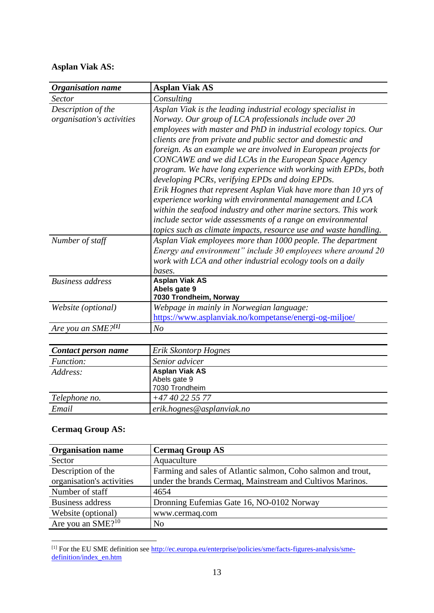### **Asplan Viak AS:**

| <b>Organisation name</b>  | <b>Asplan Viak AS</b>                                            |
|---------------------------|------------------------------------------------------------------|
| <i>Sector</i>             | Consulting                                                       |
| Description of the        | Asplan Viak is the leading industrial ecology specialist in      |
| organisation's activities | Norway. Our group of LCA professionals include over 20           |
|                           | employees with master and PhD in industrial ecology topics. Our  |
|                           | clients are from private and public sector and domestic and      |
|                           | foreign. As an example we are involved in European projects for  |
|                           | CONCAWE and we did LCAs in the European Space Agency             |
|                           | program. We have long experience with working with EPDs, both    |
|                           | developing PCRs, verifying EPDs and doing EPDs.                  |
|                           | Erik Hognes that represent Asplan Viak have more than 10 yrs of  |
|                           | experience working with environmental management and LCA         |
|                           | within the seafood industry and other marine sectors. This work  |
|                           | include sector wide assessments of a range on environmental      |
|                           | topics such as climate impacts, resource use and waste handling. |
| Number of staff           | Asplan Viak employees more than 1000 people. The department      |
|                           | Energy and environment" include 30 employees where around 20     |
|                           | work with LCA and other industrial ecology tools on a daily      |
|                           | bases.                                                           |
| <b>Business address</b>   | <b>Asplan Viak AS</b>                                            |
|                           | Abels gate 9<br>7030 Trondheim, Norway                           |
| Website (optional)        | Webpage in mainly in Norwegian language:                         |
|                           | https://www.asplanviak.no/kompetanse/energi-og-miljoe/           |
| Are you an SME?[1]        | N <sub>O</sub>                                                   |

| Contact person name | Erik Skontorp Hognes                                    |
|---------------------|---------------------------------------------------------|
| <i>Function:</i>    | Senior advicer                                          |
| Address:            | <b>Asplan Viak AS</b><br>Abels gate 9<br>7030 Trondheim |
| Telephone no.       | $+4740225577$                                           |
| Email               | erik.hognes@asplanviak.no                               |

### **Cermaq Group AS:**

| <b>Organisation name</b>      | <b>Cermaq Group AS</b>                                       |
|-------------------------------|--------------------------------------------------------------|
| Sector                        | Aquaculture                                                  |
| Description of the            | Farming and sales of Atlantic salmon, Coho salmon and trout, |
| organisation's activities     | under the brands Cermaq, Mainstream and Cultivos Marinos.    |
| Number of staff               | 4654                                                         |
| <b>Business address</b>       | Dronning Eufemias Gate 16, NO-0102 Norway                    |
| Website (optional)            | www.cermaq.com                                               |
| Are you an SME? <sup>10</sup> | N <sub>0</sub>                                               |

<sup>[1]</sup> For the EU SME definition see [http://ec.europa.eu/enterprise/policies/sme/facts-figures-analysis/sme](http://ec.europa.eu/enterprise/policies/sme/facts-figures-analysis/sme-definition/index_en.htm)[definition/index\\_en.htm](http://ec.europa.eu/enterprise/policies/sme/facts-figures-analysis/sme-definition/index_en.htm)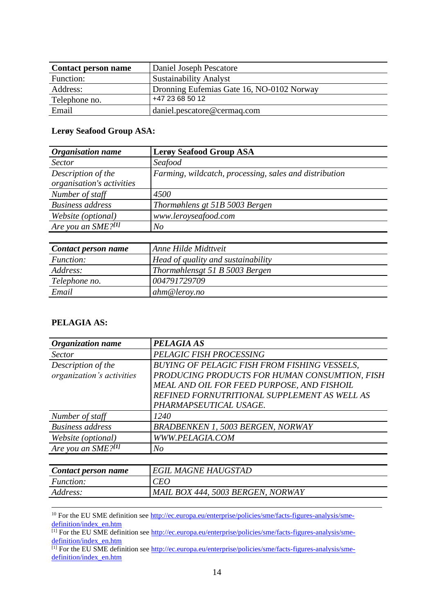| <b>Contact person name</b> | Daniel Joseph Pescatore                   |
|----------------------------|-------------------------------------------|
| Function:                  | <b>Sustainability Analyst</b>             |
| Address:                   | Dronning Eufemias Gate 16, NO-0102 Norway |
| Telephone no.              | +47 23 68 50 12                           |
| Email                      | daniel.pescatore@cermaq.com               |

### **Lerøy Seafood Group ASA:**

| <b>Organisation name</b>                        | <b>Lergy Seafood Group ASA</b>                         |
|-------------------------------------------------|--------------------------------------------------------|
| <b>Sector</b>                                   | Seafood                                                |
| Description of the<br>organisation's activities | Farming, wildcatch, processing, sales and distribution |
| Number of staff                                 | 4500                                                   |
| <b>Business address</b>                         | Thormøhlens gt 51B 5003 Bergen                         |
| Website (optional)                              | www.leroyseafood.com                                   |
| Are you an SME?[1]                              | $N_{O}$                                                |

| Contact person name | Anne Hilde Midttyeit               |
|---------------------|------------------------------------|
| <i>Function:</i>    | Head of quality and sustainability |
| Address:            | Thormøhlensgt 51 B 5003 Bergen     |
| Telephone no.       | 004791729709                       |
| Email               | ahm@lerov.no                       |

### **PELAGIA AS:**

| Organization name         | <b>PELAGIA AS</b>                                   |
|---------------------------|-----------------------------------------------------|
| <i>Sector</i>             | PELAGIC FISH PROCESSING                             |
| Description of the        | <b>BUYING OF PELAGIC FISH FROM FISHING VESSELS,</b> |
| organization's activities | PRODUCING PRODUCTS FOR HUMAN CONSUMTION, FISH       |
|                           | MEAL AND OIL FOR FEED PURPOSE, AND FISHOIL          |
|                           | REFINED FORNUTRITIONAL SUPPLEMENT AS WELL AS        |
|                           | PHARMAPSEUTICAL USAGE.                              |
| Number of staff           | 1240                                                |
| <b>Business address</b>   | <b>BRADBENKEN 1, 5003 BERGEN, NORWAY</b>            |
| Website (optional)        | WWW.PELAGIA.COM                                     |
| Are you an $SME$ ?[1]     | N <sub>O</sub>                                      |

| Contact person name | <b>EGIL MAGNE HAUGSTAD</b>        |
|---------------------|-----------------------------------|
| <i>Function:</i>    | CEO                               |
| <i>Address:</i>     | MAIL BOX 444, 5003 BERGEN, NORWAY |

<sup>10</sup> For the EU SME definition see [http://ec.europa.eu/enterprise/policies/sme/facts-figures-analysis/sme](http://ec.europa.eu/enterprise/policies/sme/facts-figures-analysis/sme-definition/index_en.htm)[definition/index\\_en.htm](http://ec.europa.eu/enterprise/policies/sme/facts-figures-analysis/sme-definition/index_en.htm)

 $^{[1]}$  For the EU SME definition see [http://ec.europa.eu/enterprise/policies/sme/facts-figures-analysis/sme](https://urldefense.proofpoint.com/v2/url?u=http-3A__ec.europa.eu_enterprise_policies_sme_facts-2Dfigures-2Danalysis_sme-2Ddefinition_index-5Fen.htm&d=DwMFAw&c=0Ar8T0WwMU1nneZvsKxA_nn0zlzWZrbk-Q5VShEQSQE&r=e0cO_IWD_9DcXNGdlbhbaC1iK_7wIaCcxrdxKBCdrFg&m=0rFemUySJk8mF-HCzRf3ybeVHe4_cA5Vz6qgWA8JbjM&s=66L3Xu29fbTrmZUWZyLycHlbSBm5TSKJw-RZVFnZuQk&e=)[definition/index\\_en.htm](https://urldefense.proofpoint.com/v2/url?u=http-3A__ec.europa.eu_enterprise_policies_sme_facts-2Dfigures-2Danalysis_sme-2Ddefinition_index-5Fen.htm&d=DwMFAw&c=0Ar8T0WwMU1nneZvsKxA_nn0zlzWZrbk-Q5VShEQSQE&r=e0cO_IWD_9DcXNGdlbhbaC1iK_7wIaCcxrdxKBCdrFg&m=0rFemUySJk8mF-HCzRf3ybeVHe4_cA5Vz6qgWA8JbjM&s=66L3Xu29fbTrmZUWZyLycHlbSBm5TSKJw-RZVFnZuQk&e=)

[1] For the EU SME definition see [http://ec.europa.eu/enterprise/policies/sme/facts-figures-analysis/sme](http://ec.europa.eu/enterprise/policies/sme/facts-figures-analysis/sme-definition/index_en.htm)[definition/index\\_en.htm](http://ec.europa.eu/enterprise/policies/sme/facts-figures-analysis/sme-definition/index_en.htm)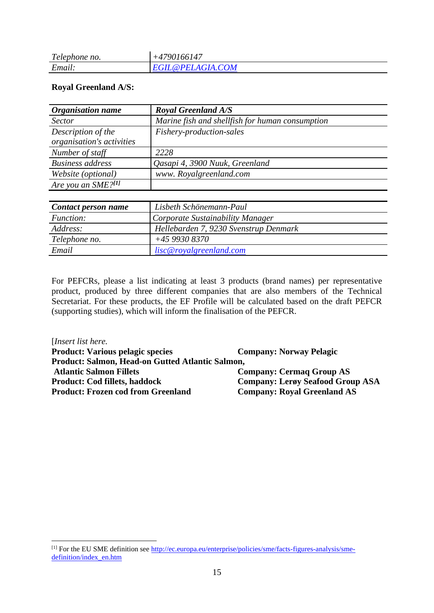| $\mathbf{\tau}$<br>Telephone no. | 0166147<br>νı<br>$+4$ |
|----------------------------------|-----------------------|
| Email.                           | PELAGIA.COM           |

### **Royal Greenland A/S:**

| <b>Organisation name</b>  | <b>Royal Greenland A/S</b>                      |
|---------------------------|-------------------------------------------------|
| <i>Sector</i>             | Marine fish and shellfish for human consumption |
| Description of the        | Fishery-production-sales                        |
| organisation's activities |                                                 |
| Number of staff           | 2228                                            |
| <b>Business address</b>   | Qasapi 4, 3900 Nuuk, Greenland                  |
| Website (optional)        | www. Royalgreenland.com                         |
| Are you an SME?[1]        |                                                 |
|                           |                                                 |
| Contact person name       | Lisbeth Schönemann-Paul                         |
| Function:                 | Corporate Sustainability Manager                |

| <i>Function:</i> | Corporate Sustainability Manager      |
|------------------|---------------------------------------|
| Address:         | Hellebarden 7, 9230 Svenstrup Denmark |
| Telephone no.    | $+4599308370$                         |
| Email            | lisc@royalgreenland.com               |
|                  |                                       |

For PEFCRs, please a list indicating at least 3 products (brand names) per representative product, produced by three different companies that are also members of the Technical Secretariat. For these products, the EF Profile will be calculated based on the draft PEFCR (supporting studies), which will inform the finalisation of the PEFCR.

[*Insert list here.* **Product: Various pelagic species Company: Norway Pelagic Product: Salmon, Head-on Gutted Atlantic Salmon, Atlantic Salmon Fillets Company: Cermaq Group AS Product: Cod fillets, haddock Company: Lerøy Seafood Group ASA Product: Frozen cod from Greenland Company: Royal Greenland AS**

<sup>[1]</sup> For the EU SME definition see [http://ec.europa.eu/enterprise/policies/sme/facts-figures-analysis/sme](https://eur03.safelinks.protection.outlook.com/?url=http%3A%2F%2Fec.europa.eu%2Fenterprise%2Fpolicies%2Fsme%2Ffacts-figures-analysis%2Fsme-definition%2Findex_en.htm&data=02%7C01%7Chenrik.stenwig%40sjomatnorge.no%7C46a33ac78ceb412116ce08d727cbe1fb%7C21be13a8b92f4a809cf317026d4a8118%7C0%7C0%7C637021629468016784&sdata=gK3%2BM1R0iy5%2FrfQ3vdZULY9opTFGytqe3%2BZB5wfQpYY%3D&reserved=0)[definition/index\\_en.htm](https://eur03.safelinks.protection.outlook.com/?url=http%3A%2F%2Fec.europa.eu%2Fenterprise%2Fpolicies%2Fsme%2Ffacts-figures-analysis%2Fsme-definition%2Findex_en.htm&data=02%7C01%7Chenrik.stenwig%40sjomatnorge.no%7C46a33ac78ceb412116ce08d727cbe1fb%7C21be13a8b92f4a809cf317026d4a8118%7C0%7C0%7C637021629468016784&sdata=gK3%2BM1R0iy5%2FrfQ3vdZULY9opTFGytqe3%2BZB5wfQpYY%3D&reserved=0)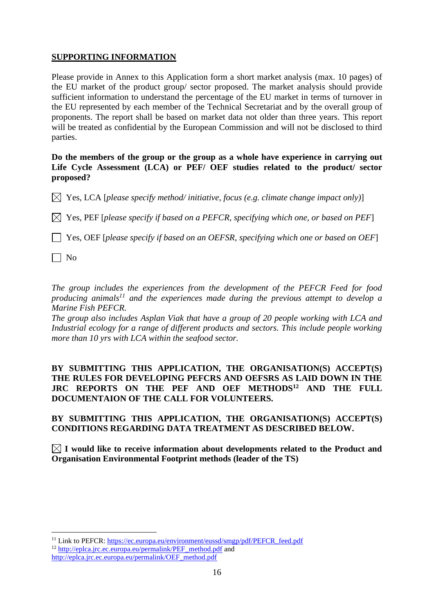### **SUPPORTING INFORMATION**

Please provide in Annex to this Application form a short market analysis (max. 10 pages) of the EU market of the product group/ sector proposed. The market analysis should provide sufficient information to understand the percentage of the EU market in terms of turnover in the EU represented by each member of the Technical Secretariat and by the overall group of proponents. The report shall be based on market data not older than three years. This report will be treated as confidential by the European Commission and will not be disclosed to third parties.

### **Do the members of the group or the group as a whole have experience in carrying out Life Cycle Assessment (LCA) or PEF/ OEF studies related to the product/ sector proposed?**

 $\boxtimes$  Yes, LCA [*please specify method/ initiative, focus (e.g. climate change impact only*)]

 $\boxtimes$  Yes, PEF [*please specify if based on a PEFCR, specifying which one, or based on PEF*]

Yes, OEF [*please specify if based on an OEFSR, specifying which one or based on OEF*]

 $\vert$  | No

*The group includes the experiences from the development of the PEFCR Feed for food producing animals<sup>11</sup> and the experiences made during the previous attempt to develop a Marine Fish PEFCR.* 

*The group also includes Asplan Viak that have a group of 20 people working with LCA and Industrial ecology for a range of different products and sectors. This include people working more than 10 yrs with LCA within the seafood sector.* 

**BY SUBMITTING THIS APPLICATION, THE ORGANISATION(S) ACCEPT(S) THE RULES FOR DEVELOPING PEFCRS AND OEFSRS AS LAID DOWN IN THE JRC REPORTS ON THE PEF AND OEF METHODS<sup>12</sup> AND THE FULL DOCUMENTAION OF THE CALL FOR VOLUNTEERS.**

### **BY SUBMITTING THIS APPLICATION, THE ORGANISATION(S) ACCEPT(S) CONDITIONS REGARDING DATA TREATMENT AS DESCRIBED BELOW.**

 $\boxtimes$  I would like to receive information about developments related to the Product and **Organisation Environmental Footprint methods (leader of the TS)**

<sup>11</sup> Link to PEFCR: [https://ec.europa.eu/environment/eussd/smgp/pdf/PEFCR\\_feed.pdf](https://ec.europa.eu/environment/eussd/smgp/pdf/PEFCR_feed.pdf) <sup>12</sup> [http://eplca.jrc.ec.europa.eu/permalink/PEF\\_method.pdf](http://eplca.jrc.ec.europa.eu/permalink/PEF_method.pdf) and

[http://eplca.jrc.ec.europa.eu/permalink/OEF\\_method.pdf](http://eplca.jrc.ec.europa.eu/permalink/OEF_method.pdf)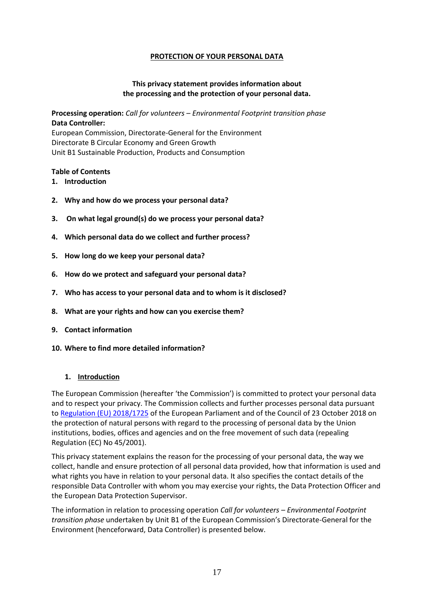### **PROTECTION OF YOUR PERSONAL DATA**

### **This privacy statement provides information about the processing and the protection of your personal data.**

**Processing operation:** *Call for volunteers – Environmental Footprint transition phase* **Data Controller:**

European Commission, Directorate-General for the Environment Directorate B Circular Economy and Green Growth Unit B1 Sustainable Production, Products and Consumption

#### **Table of Contents**

- **1. Introduction**
- **2. Why and how do we process your personal data?**
- **3. On what legal ground(s) do we process your personal data?**
- **4. Which personal data do we collect and further process?**
- **5. How long do we keep your personal data?**
- **6. How do we protect and safeguard your personal data?**
- **7. Who has access to your personal data and to whom is it disclosed?**
- **8. What are your rights and how can you exercise them?**
- **9. Contact information**
- **10. Where to find more detailed information?**

#### **1. Introduction**

The European Commission (hereafter 'the Commission') is committed to protect your personal data and to respect your privacy. The Commission collects and further processes personal data pursuant to [Regulation \(EU\) 2018/1725](https://eur-lex.europa.eu/legal-content/EN/TXT/?uri=uriserv:OJ.L_.2018.295.01.0039.01.ENG&toc=OJ:L:2018:295:TOC) of the European Parliament and of the Council of 23 October 2018 on the protection of natural persons with regard to the processing of personal data by the Union institutions, bodies, offices and agencies and on the free movement of such data (repealing Regulation (EC) No 45/2001).

This privacy statement explains the reason for the processing of your personal data, the way we collect, handle and ensure protection of all personal data provided, how that information is used and what rights you have in relation to your personal data. It also specifies the contact details of the responsible Data Controller with whom you may exercise your rights, the Data Protection Officer and the European Data Protection Supervisor.

The information in relation to processing operation *Call for volunteers – Environmental Footprint transition phase* undertaken by Unit B1 of the European Commission's Directorate-General for the Environment (henceforward, Data Controller) is presented below.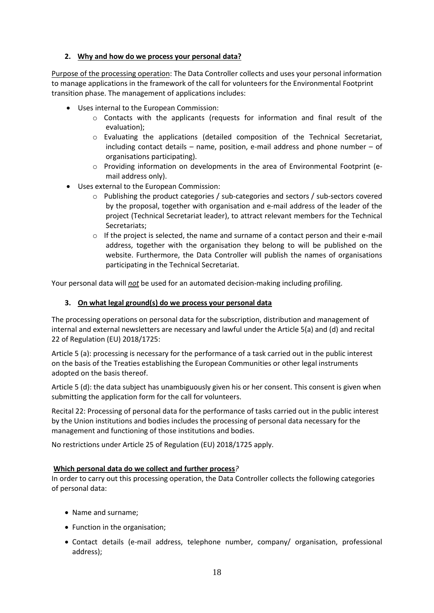### **2. Why and how do we process your personal data?**

Purpose of the processing operation: The Data Controller collects and uses your personal information to manage applications in the framework of the call for volunteers for the Environmental Footprint transition phase. The management of applications includes:

- Uses internal to the European Commission:
	- $\circ$  Contacts with the applicants (requests for information and final result of the evaluation);
	- o Evaluating the applications (detailed composition of the Technical Secretariat, including contact details – name, position, e-mail address and phone number – of organisations participating).
	- o Providing information on developments in the area of Environmental Footprint (email address only).
- Uses external to the European Commission:
	- $\circ$  Publishing the product categories / sub-categories and sectors / sub-sectors covered by the proposal, together with organisation and e-mail address of the leader of the project (Technical Secretariat leader), to attract relevant members for the Technical Secretariats;
	- o If the project is selected, the name and surname of a contact person and their e-mail address, together with the organisation they belong to will be published on the website. Furthermore, the Data Controller will publish the names of organisations participating in the Technical Secretariat.

Your personal data will *not* be used for an automated decision-making including profiling.

### **3. On what legal ground(s) do we process your personal data**

The processing operations on personal data for the subscription, distribution and management of internal and external newsletters are necessary and lawful under the Article 5(a) and (d) and recital 22 of Regulation (EU) 2018/1725:

Article 5 (a): processing is necessary for the performance of a task carried out in the public interest on the basis of the Treaties establishing the European Communities or other legal instruments adopted on the basis thereof.

Article 5 (d): the data subject has unambiguously given his or her consent. This consent is given when submitting the application form for the call for volunteers.

Recital 22: Processing of personal data for the performance of tasks carried out in the public interest by the Union institutions and bodies includes the processing of personal data necessary for the management and functioning of those institutions and bodies.

No restrictions under Article 25 of Regulation (EU) 2018/1725 apply.

#### **Which personal data do we collect and further process***?*

In order to carry out this processing operation, the Data Controller collects the following categories of personal data:

- Name and surname;
- Function in the organisation;
- Contact details (e-mail address, telephone number, company/ organisation, professional address);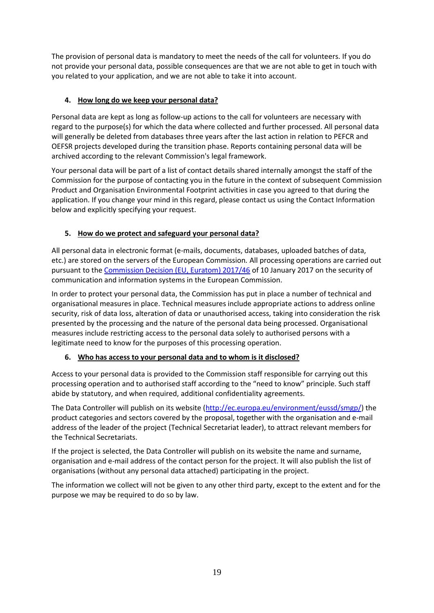The provision of personal data is mandatory to meet the needs of the call for volunteers. If you do not provide your personal data, possible consequences are that we are not able to get in touch with you related to your application, and we are not able to take it into account.

### **4. How long do we keep your personal data?**

Personal data are kept as long as follow-up actions to the call for volunteers are necessary with regard to the purpose(s) for which the data where collected and further processed. All personal data will generally be deleted from databases three years after the last action in relation to PEFCR and OEFSR projects developed during the transition phase. Reports containing personal data will be archived according to the relevant Commission's legal framework.

Your personal data will be part of a list of contact details shared internally amongst the staff of the Commission for the purpose of contacting you in the future in the context of subsequent Commission Product and Organisation Environmental Footprint activities in case you agreed to that during the application. If you change your mind in this regard, please contact us using the Contact Information below and explicitly specifying your request.

### **5. How do we protect and safeguard your personal data?**

All personal data in electronic format (e-mails, documents, databases, uploaded batches of data, etc.) are stored on the servers of the European Commission*.* All processing operations are carried out pursuant to the [Commission Decision \(EU, Euratom\) 2017/46](https://eur-lex.europa.eu/legal-content/EN/TXT/?qid=1548093747090&uri=CELEX:32017D0046) of 10 January 2017 on the security of communication and information systems in the European Commission.

In order to protect your personal data, the Commission has put in place a number of technical and organisational measures in place. Technical measures include appropriate actions to address online security, risk of data loss, alteration of data or unauthorised access, taking into consideration the risk presented by the processing and the nature of the personal data being processed. Organisational measures include restricting access to the personal data solely to authorised persons with a legitimate need to know for the purposes of this processing operation.

### **6. Who has access to your personal data and to whom is it disclosed?**

Access to your personal data is provided to the Commission staff responsible for carrying out this processing operation and to authorised staff according to the "need to know" principle. Such staff abide by statutory, and when required, additional confidentiality agreements.

The Data Controller will publish on its website [\(http://ec.europa.eu/environment/eussd/smgp/\)](http://ec.europa.eu/environment/eussd/smgp/) the product categories and sectors covered by the proposal, together with the organisation and e-mail address of the leader of the project (Technical Secretariat leader), to attract relevant members for the Technical Secretariats.

If the project is selected, the Data Controller will publish on its website the name and surname, organisation and e-mail address of the contact person for the project. It will also publish the list of organisations (without any personal data attached) participating in the project.

The information we collect will not be given to any other third party, except to the extent and for the purpose we may be required to do so by law.